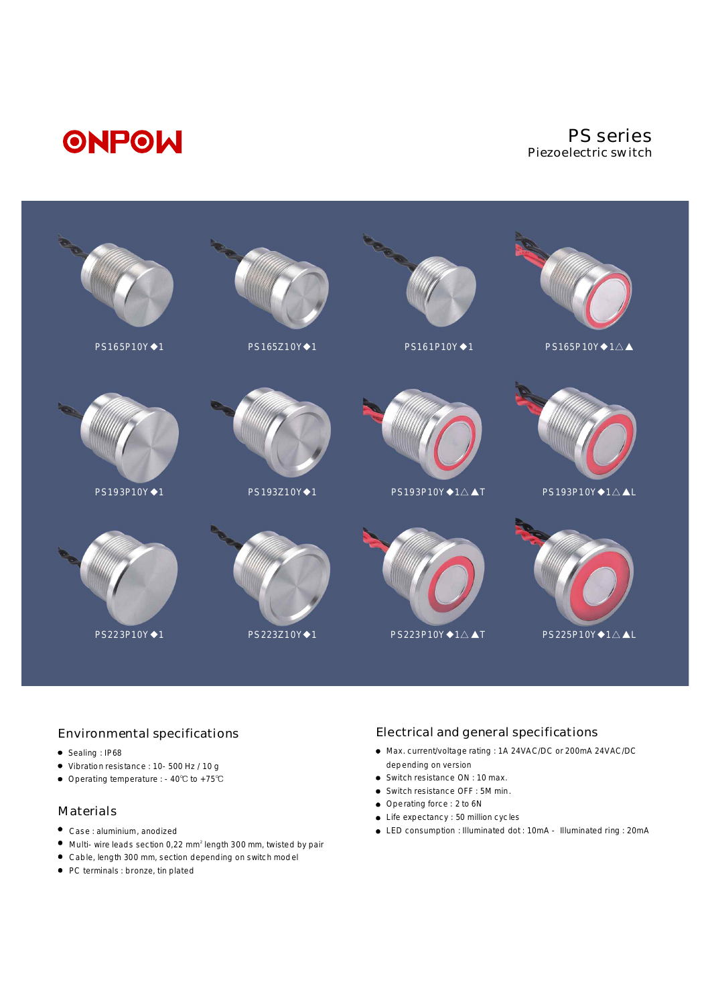

#### Environmental specifications

- Sealing : IP68
- Vibration resistance : 10-500 Hz / 10 g
- Operating temperature : -40℃ to +75℃

#### Materials

- Case : aluminium, anodized
- Multi-wire leads section 0,22 mm<sup>2</sup> length 300 mm, twisted by pair
- Cable, length 300 mm, section depending on switch model
- PC terminals : bronze, tin plated

#### Electrical and general specifications

- Max. current/voltage rating : 1A 24VAC/DC or 200mA 24VAC/DC depending on version
- Switch resistance ON : 10 max.
- Switch resistance OFF : 5M min.
- Operating force : 2 to 6N
- Life expectancy : 50 million cycles
- LED consumption : Illuminated dot : 10mA Illuminated ring : 20mA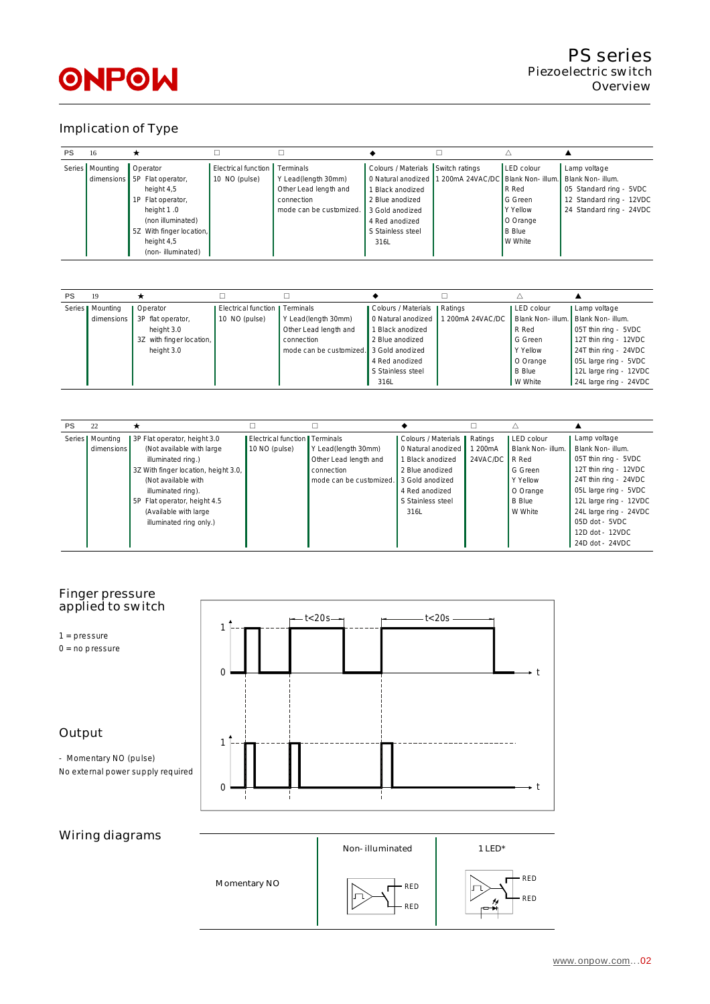# Implication of Type

| <b>PS</b> | 16                |                              |                     |                         |                       |                                   |                 |                          |
|-----------|-------------------|------------------------------|---------------------|-------------------------|-----------------------|-----------------------------------|-----------------|--------------------------|
|           | Series   Mounting | Operator                     | Electrical function | Terminals               | Colours / Materials   | Switch ratings                    | LED colour      | Lamp voltage             |
|           |                   | dimensions 5P Flat operator, | 10 NO (pulse)       | Y Lead(length 30mm)     | 0 Natural anodized    | 1 200mA 24VAC/DC Blank Non-illum. |                 | Blank Non-illum.         |
|           |                   | height 4,5                   |                     | Other Lead length and   | <b>Black anodized</b> |                                   | R Red           | 05 Standard ring - 5VDC  |
|           |                   | 1P Flat operator,            |                     | connection              | 2 Blue anodized       |                                   | G Green         | 12 Standard ring - 12VDC |
|           |                   | height 1.0                   |                     | mode can be customized. | 3 Gold anodized       |                                   | <b>Y</b> Yellow | 24 Standard ring - 24VDC |
|           |                   | (non illuminated)            |                     |                         | 4 Red anodized        |                                   | O Orange        |                          |
|           |                   | 5Z With finger location,     |                     |                         | S Stainless steel     |                                   | <b>B</b> Blue   |                          |
|           |                   | height 4,5                   |                     |                         | 316L                  |                                   | W White         |                          |
|           |                   | (non-illuminated)            |                     |                         |                       |                                   |                 |                          |

| PS | 19                |                          |                                        |                         |                               |                  |                  |                        |
|----|-------------------|--------------------------|----------------------------------------|-------------------------|-------------------------------|------------------|------------------|------------------------|
|    | Series   Mounting | Operator                 | Electrical function <b>I</b> Terminals |                         | Colours / Materials   Ratings |                  | LED colour       | Lamp voltage           |
|    | dimensions        | 3P flat operator,        | 10 NO (pulse)                          | Y Lead(length 30mm)     | 0 Natural anodized            | 1 200mA 24VAC/DC | Blank Non-illum. | Blank Non-illum.       |
|    |                   | height 3.0               |                                        | Other Lead length and   | 1 Black anodized              |                  | R Red            | 05T thin ring - 5VDC   |
|    |                   | 3Z with finger location, |                                        | connection              | 2 Blue anodized               |                  | G Green          | 12T thin ring - 12VDC  |
|    |                   | height 3.0               |                                        | mode can be customized. | 3 Gold anodized               |                  | Y Yellow         | 24T thin ring - 24VDC  |
|    |                   |                          |                                        |                         | 4 Red anodized                |                  | O Orange         | 05L large ring - 5VDC  |
|    |                   |                          |                                        |                         | S Stainless steel             |                  | <b>B</b> Blue    | 12L large ring - 12VDC |
|    |                   |                          |                                        |                         | 316L                          |                  | W White          | 24L large ring - 24VDC |

| <b>PS</b> | 22                |                                      |                                 |                         |                       |          |                  |                        |
|-----------|-------------------|--------------------------------------|---------------------------------|-------------------------|-----------------------|----------|------------------|------------------------|
|           | Series   Mounting | 3P Flat operator, height 3.0         | Electrical function   Terminals |                         | Colours / Materials   | Ratings  | LED colour       | Lamp voltage           |
|           | dimensions        | (Not available with large            | 10 NO (pulse)                   | Y Lead(length 30mm)     | 0 Natural anodized    | 200mA    | Blank Non-illum. | Blank Non-illum.       |
|           |                   | illuminated ring.)                   |                                 | Other Lead length and   | <b>Black anodized</b> | 24VAC/DC | R Red            | 05T thin ring - 5VDC   |
|           |                   | 3Z With finger location, height 3.0, |                                 | connection              | 2 Blue anodized       |          | G Green          | 12T thin ring - 12VDC  |
|           |                   | (Not available with                  |                                 | mode can be customized. | 3 Gold anodized       |          | Y Yellow         | 24T thin ring - 24VDC  |
|           |                   | illuminated ring).                   |                                 |                         | 4 Red anodized        |          | O Orange         | 05L large ring - 5VDC  |
|           |                   | 5P Flat operator, height 4.5         |                                 |                         | S Stainless steel     |          | <b>B</b> Blue    | 12L large ring - 12VDC |
|           |                   | (Available with large                |                                 |                         | 316L                  |          | W White          | 24L large ring - 24VDC |
|           |                   | illuminated ring only.)              |                                 |                         |                       |          |                  | 05D dot - 5VDC         |
|           |                   |                                      |                                 |                         |                       |          |                  | 12D dot - 12VDC        |
|           |                   |                                      |                                 |                         |                       |          |                  | 24D dot - 24VDC        |



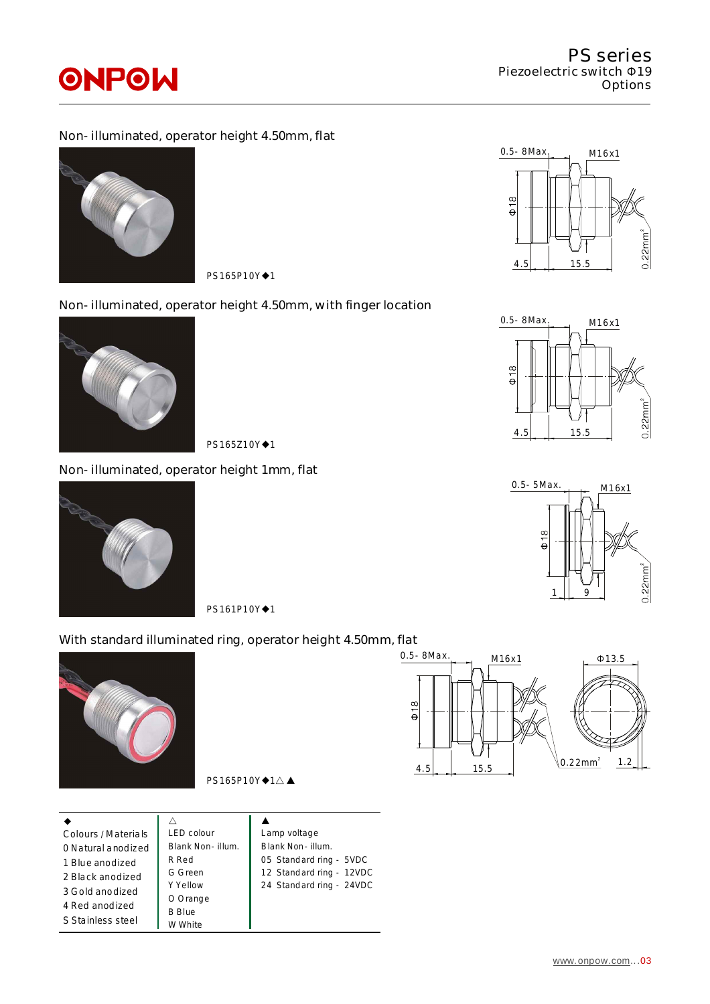## Non-illuminated, operator height 4.50mm, flat



PS165P10Y◆1

## Non-illuminated, operator height 4.50mm, with finger location



PS165Z10Y◆1

### Non-illuminated, operator height 1mm, flat



PS161P10Y◆1

## With standard illuminated ring, operator height 4.50mm, flat



|     | $\frac{1}{\Theta}$<br>//<br>ı<br>-<br>$0.2^{1}$<br>15.5<br>4.5 |
|-----|----------------------------------------------------------------|
| ıge |                                                                |







0.5-8Max.  $0.22$ mm<sup>2</sup> M16x1 Φ13.5 1.2

 $PS165P10Y*1\triangle \blacktriangle$ 

| Colours / Materials | <b>LED</b> colour | Lamp voltage             |  |
|---------------------|-------------------|--------------------------|--|
| 0 Natural anodized  | Blank Non-illum.  | Blank Non-illum.         |  |
| 1 Blue anodized     | R Red             | 05 Standard ring - 5VDC  |  |
| 2 Black anodized    | G Green           | 12 Standard ring - 12VDC |  |
| 3 Gold anodized     | Y Yellow          | 24 Standard ring - 24VDC |  |
| 4 Red anodized      | O Orange          |                          |  |
|                     | <b>B</b> Blue     |                          |  |
| S Stainless steel   | W White           |                          |  |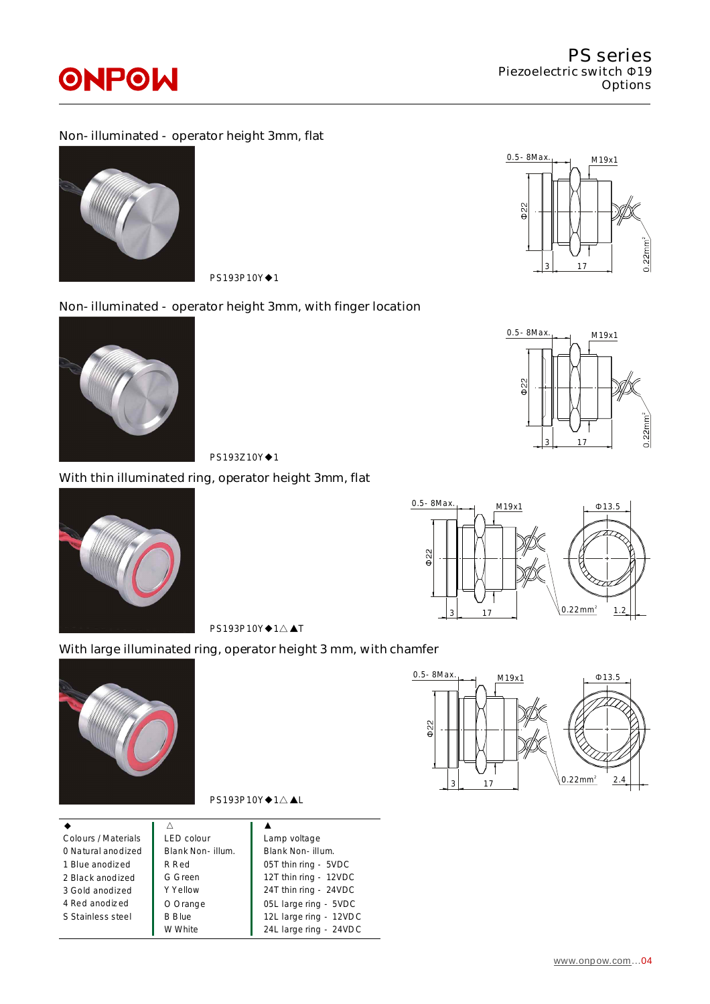### Non-illuminated - operator height 3mm, flat



PS193P10Y◆1

### Non-illuminated - operator height 3mm, with finger location



PS193Z10Y◆1

## With thin illuminated ring, operator height 3mm, flat



 $622$  $0.22$ mm<sup>2</sup> 1.2  $3 \mid 17$ 

M19x1

 $0.5 - 8$ Max. M19x1  $\downarrow$  013.5

PS193P10Y◆1△▲T

## With large illuminated ring, operator height 3 mm, with chamfer





#### PS193P10Y◆1△▲L

| Colours / Materials | <b>LED</b> colour | Lamp voltage           |
|---------------------|-------------------|------------------------|
| 0 Natural anodized  | Blank Non-illum.  | Blank Non-illum.       |
| 1 Blue anodized     | R Red             | 05T thin ring - 5VDC   |
| 2 Black anodized    | G Green           | 12T thin ring - 12VDC  |
| 3 Gold anodized     | Y Yellow          | 24T thin ring - 24VDC  |
| 4 Red anodized      | O Orange          | 05L large ring - 5VDC  |
| S Stainless steel   | <b>B</b> Blue     | 12L large ring - 12VDC |
|                     | W White           | 24L large ring - 24VDC |



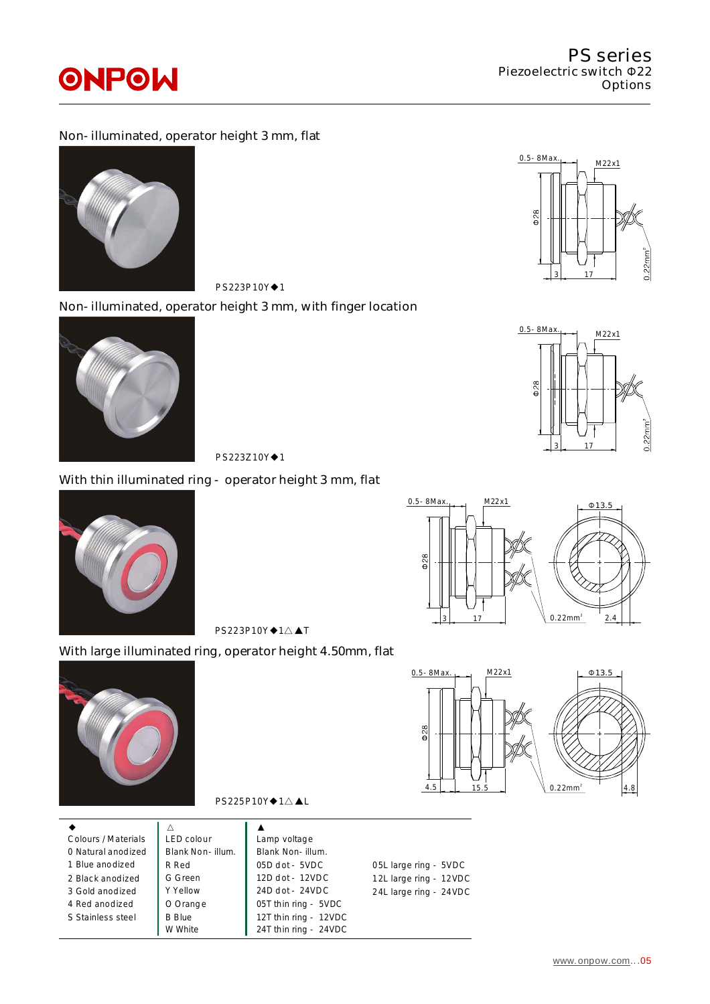#### Non-illuminated, operator height 3 mm, flat



PS223P10Y◆1

#### Non-illuminated, operator height 3 mm, with finger location



PS223Z10Y◆1

### With thin illuminated ring - operator height 3 mm, flat



 $\Phi$ 28  $0.22mm^2$ 3 17

2.4  $0.5 - 8$ Max. M22x1 Φ13.5

PS223P10Y◆1△▲T

## With large illuminated ring, operator height 4.50mm, flat





PS225P10Y◆1△▲L

| Colours / Materials<br>0 Natural anodized<br>1 Blue anodized<br>2 Black anodized<br>3 Gold anodized<br>4 Red anodized<br>S Stainless steel | LED colour<br>Blank Non-illum.<br>R Red<br>G Green<br>Y Yellow<br>O Orange<br><b>B</b> Blue | Lamp voltage<br>Blank Non-illum.<br>$05D$ dot - $5VDC$<br>12D dot - 12VDC<br>24D dot - 24VDC<br>05T thin ring - 5VDC<br>12T thin ring - 12VDC | 05L large ring - 5VDC<br>12L large ring - 12VDC<br>24L large ring - 24VDC |
|--------------------------------------------------------------------------------------------------------------------------------------------|---------------------------------------------------------------------------------------------|-----------------------------------------------------------------------------------------------------------------------------------------------|---------------------------------------------------------------------------|
|                                                                                                                                            | W White                                                                                     | 24T thin ring - 24VDC                                                                                                                         |                                                                           |